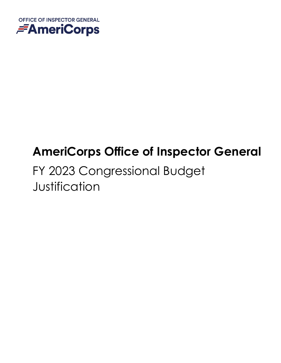

# **AmeriCorps Office of Inspector General**

# FY 2023 Congressional Budget **Justification**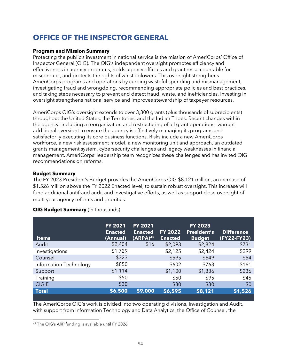# **OFFICE OF THE INSPECTOR GENERAL**

#### **Program and Mission Summary**

Protecting the public's investment in national service is the mission of AmeriCorps' Office of Inspector General (OIG). The OIG's independent oversight promotes efficiency and effectiveness in agency programs, holds agency officials and grantees accountable for misconduct, and protects the rights of whistleblowers. This oversight strengthens AmeriCorps programs and operations by curbing wasteful spending and mismanagement, investigating fraud and wrongdoing, recommending appropriate policies and best practices, and taking steps necessary to prevent and detect fraud, waste, and inefficiencies. Investing in oversight strengthens national service and improves stewardship of taxpayer resources.

AmeriCorps OIG's oversight extends to over 3,300 grants (plus thousands of subrecipients) throughout the United States, the Territories, and the Indian Tribes. Recent changes within the agency—including a reorganization and restructuring of all grant operations—warrant additional oversight to ensure the agency is effectively managing its programs and satisfactorily executing its core business functions. Risks include a new AmeriCorps workforce, a new risk assessment model, a new monitoring unit and approach, an outdated grants management system, cybersecurity challenges and legacy weaknesses in financial management. AmeriCorps' leadership team recognizes these challenges and has invited OIG recommendations on reforms.

#### **Budget Summary**

The FY 2023 President's Budget provides the AmeriCorps OIG \$8.121 million, an increase of \$1.526 million above the FY 2022 Enacted level, to sustain robust oversight. This increase will fund additional antifraud audit and investigative efforts, as well as support close oversight of multi-year agency reforms and priorities.

| <b>Items</b>           | FY 2021<br><b>Enacted</b><br>(Annual) | <b>FY 2021</b><br><b>Enacted</b><br>(ARPA) <sup>45</sup> | FY 2022<br><b>Enacted</b> | <b>FY 2023</b><br><b>President's</b><br><b>Budget</b> | <b>Difference</b><br>(FY22-FY23) |
|------------------------|---------------------------------------|----------------------------------------------------------|---------------------------|-------------------------------------------------------|----------------------------------|
| Audit                  | \$2,404                               | \$16                                                     | \$2,093                   | \$2,824                                               | \$731                            |
| Investigations         | \$1,729                               |                                                          | \$2,125                   | \$2,424                                               | \$299                            |
| Counsel                | \$323                                 |                                                          | \$595                     | \$649                                                 | \$54                             |
| Information Technology | \$850                                 |                                                          | \$602                     | \$763                                                 | \$161                            |
| Support                | \$1,114                               |                                                          | \$1,100                   | \$1,336                                               | \$236                            |
| Training               | \$50                                  |                                                          | \$50                      | \$95                                                  | \$45                             |
| <b>CIGIE</b>           | \$30                                  |                                                          | \$30                      | \$30                                                  | \$0                              |
| <b>Total</b>           | \$6,500                               | \$9,000                                                  | \$6,595                   | \$8,121                                               | \$1,526                          |

#### **OIG Budget Summary** (in thousands)

The AmeriCorps OIG's work is divided into two operating divisions, Investigation and Audit, with support from Information Technology and Data Analytics, the Office of Counsel, the

<sup>45</sup> The OIG's ARP funding is available until FY 2026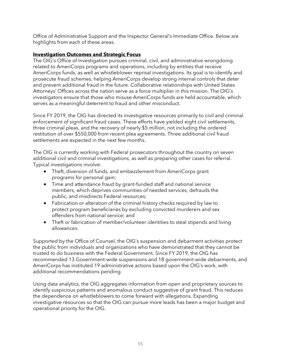Office of Administrative Support and the Inspector General's Immediate Office. Below are highlights from each of these areas.

#### **Investigation Outcomes and Strategic Focus**

The OIG's Office of Investigation pursues criminal, civil, and administrative wrongdoing related to AmeriCorps programs and operations, including by entities that receive AmeriCorps funds, as well as whistleblower reprisal investigations. Its goal is to identify and prosecute fraud schemes, helping AmeriCorps develop strong internal controls that deter and prevent additional fraud in the future. Collaborative relationships with United States Attorneys' Offices across the nation serve as a force multiplier in this mission. The OIG's investigators ensure that those who misuse AmeriCorps funds are held accountable, which serves as a meaningful deterrent to fraud and other misconduct.

Since FY 2019, the OIG has directed its investigative resources primarily to civil and criminal enforcement of significant fraud cases. These efforts have yielded eight civil settlements, three criminal pleas, and the recovery of nearly \$5 million, not including the ordered restitution of over \$550,000 from recent plea agreements. Three additional civil fraud settlements are expected in the next few months.

The OIG is currently working with Federal prosecutors throughout the country on seven additional civil and criminal investigations, as well as preparing other cases for referral. Typical investigations involve:

- Theft, diversion of funds, and embezzlement from AmeriCorps grant programs for personal gain;
- Time and attendance fraud by grant-funded staff and national service members, which deprives communities of needed services, defrauds the public, and misdirects Federal resources;
- Fabrication or alteration of the criminal history checks required by law to protect program beneficiaries by excluding convicted murderers and sex offenders from national service; and
- Theft or fabrication of member/volunteer identities to steal stipends and living allowances.

Supported by the Office of Counsel, the OIG's suspension and debarment activities protect the public from individuals and organizations who have demonstrated that they cannot be trusted to do business with the Federal Government. Since FY 2019, the OIG has recommended 13 Government-wide suspensions and 18 government-wide debarments, and AmeriCorps has instituted 19 administrative actions based upon the OIG's work, with additional recommendations pending.

Using data analytics, the OIG aggregates information from open and proprietary sources to identify suspicious patterns and anomalous conduct suggestive of grant fraud. This reduces the dependence on whistleblowers to come forward with allegations. Expanding investigative resources so that the OIG can pursue more leads has been a major budget and operational priority for the OIG.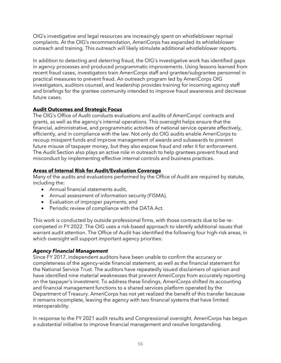OIG's investigative and legal resources are increasingly spent on whistleblower reprisal complaints. At the OIG's recommendation, AmeriCorps has expanded its whistleblower outreach and training. This outreach will likely stimulate additional whistleblower reports.

In addition to detecting and deterring fraud, the OIG's investigative work has identified gaps in agency processes and produced programmatic improvements. Using lessons learned from recent fraud cases, investigators train AmeriCorps staff and grantee/subgrantee personnel in practical measures to prevent fraud. An outreach program led by AmeriCorps OIG investigators, auditors counsel, and leadership provides training for incoming agency staff and briefings for the grantee community intended to improve fraud awareness and decrease future cases.

### **Audit Outcomes and Strategic Focus**

The OIG's Office of Audit conducts evaluations and audits of AmeriCorps' contracts and grants, as well as the agency's internal operations. This oversight helps ensure that the financial, administrative, and programmatic activities of national service operate effectively, efficiently, and in compliance with the law. Not only do OIG audits enable AmeriCorps to recoup misspent funds and improve management of awards and subawards to prevent future misuse of taxpayer money, but they also expose fraud and refer it for enforcement. The Audit Section also plays an active role in outreach to help grantees prevent fraud and misconduct by implementing effective internal controls and business practices.

# **Areas of Internal Risk for Audit/Evaluation Coverage**

Many of the audits and evaluations performed by the Office of Audit are required by statute, including the:

- Annual financial statements audit,
- Annual assessment of information security (FISMA),
- Evaluation of improper payments, and
- Periodic review of compliance with the DATA Act.

This work is conducted by outside professional firms, with those contracts due to be recompeted in FY 2022. The OIG uses a risk-based approach to identify additional issues that warrant audit attention. The Office of Audit has identified the following four high-risk areas, in which oversight will support important agency priorities:

#### *Agency Financial Management*

Since FY 2017, independent auditors have been unable to confirm the accuracy or completeness of the agency-wide financial statement, as well as the financial statement for the National Service Trust. The auditors have repeatedly issued disclaimers of opinion and have identified nine material weaknesses that prevent AmeriCorps from accurately reporting on the taxpayer's investment. To address these findings, AmeriCorps shifted its accounting and financial management functions to a shared services platform operated by the Department of Treasury. AmeriCorps has not yet realized the benefit of this transfer because it remains incomplete, leaving the agency with two financial systems that have limited interoperability.

In response to the FY 2021 audit results and Congressional oversight, AmeriCorps has begun a substantial initiative to improve financial management and resolve longstanding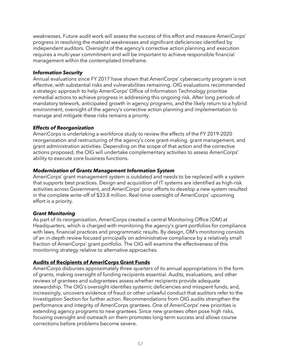weaknesses. Future audit work will assess the success of this effort and measure AmeriCorps' progress in resolving the material weaknesses and significant deficiencies identified by independent auditors. Oversight of the agency's corrective action planning and execution requires a multi-year commitment and will be important to achieve responsible financial management within the contemplated timeframe.

#### *Information Security*

Annual evaluations since FY 2017 have shown that AmeriCorps' cybersecurity program is not effective, with substantial risks and vulnerabilities remaining. OIG evaluations recommended a strategic approach to help AmeriCorps' Office of Information Technology prioritize remedial actions to achieve progress in addressing this ongoing risk. After long periods of mandatory telework, anticipated growth in agency programs, and the likely return to a hybrid environment, oversight of the agency's corrective action planning and implementation to manage and mitigate these risks remains a priority.

#### *Effects of Reorganization*

AmeriCorps is undertaking a workforce study to review the effects of the FY 2019-2020 reorganization and restructuring of the agency's core grant-making, grant management, and grant administration activities. Depending on the scope of that action and the corrective actions proposed, the OIG will undertake complementary activities to assess AmeriCorps' ability to execute core business functions.

#### *Modernization of Grants Management Information System*

AmeriCorps' grant management system is outdated and needs to be replaced with a system that supports best practices. Design and acquisition of IT systems are identified as high-risk activities across Government, and AmeriCorps' prior efforts to develop a new system resulted in the complete write-off of \$33.8 million. Real-time oversight of AmeriCorps' upcoming effort is a priority.

#### *Grant Monitoring*

As part of its reorganization, AmeriCorps created a central Monitoring Office (OM) at Headquarters, which is charged with monitoring the agency's grant portfolios for compliance with laws, financial practices and programmatic results. By design, OM's monitoring consists of an in-depth review focused principally on administrative compliance by a relatively small fraction of AmeriCorps' grant portfolio. The OIG will examine the effectiveness of this monitoring strategy relative to alternative approaches.

# **Audits of Recipients of AmeriCorps Grant Funds**

AmeriCorps disburses approximately three-quarters of its annual appropriations in the form of grants, making oversight of funding recipients essential. Audits, evaluations, and other reviews of grantees and subgrantees assess whether recipients provide adequate stewardship. The OIG's oversight identifies systemic deficiencies and misspent funds, and, increasingly, uncovers evidence of fraud or other unlawful conduct that auditors refer to the Investigation Section for further action. Recommendations from OIG audits strengthen the performance and integrity of AmeriCorps grantees. One of AmeriCorps' new priorities is extending agency programs to new grantees. Since new grantees often pose high risks, focusing oversight and outreach on them promotes long-term success and allows course corrections before problems become severe.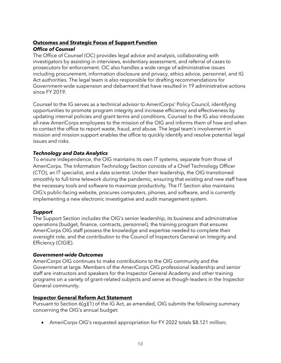## **Outcomes and Strategic Focus of Support Function** *Office of Counsel*

The Office of Counsel (OC) provides legal advice and analysis, collaborating with investigators by assisting in interviews, evidentiary assessment, and referral of cases to prosecutors for enforcement. OC also handles a wide range of administrative issues including procurement, information disclosure and privacy, ethics advice, personnel, and IG Act authorities. The legal team is also responsible for drafting recommendations for Government-wide suspension and debarment that have resulted in 19 administrative actions since FY 2019.

Counsel to the IG serves as a technical advisor to AmeriCorps' Policy Council, identifying opportunities to promote program integrity and increase efficiency and effectiveness by updating internal policies and grant terms and conditions. Counsel to the IG also introduces all-new AmeriCorps employees to the mission of the OIG and informs them of how and when to contact the office to report waste, fraud, and abuse. The legal team's involvement in mission and mission support enables the office to quickly identify and resolve potential legal issues and risks.

### *Technology and Data Analytics*

To ensure independence, the OIG maintains its own IT systems, separate from those of AmeriCorps. The Information Technology Section consists of a Chief Technology Officer (CTO), an IT specialist, and a data scientist. Under their leadership, the OIG transitioned smoothly to full-time telework during the pandemic, ensuring that existing and new staff have the necessary tools and software to maximize productivity. The IT Section also maintains OIG's public-facing website, procures computers, phones, and software, and is currently implementing a new electronic investigative and audit management system.

#### *Support*

The Support Section includes the OIG's senior leadership, its business and administrative operations (budget, finance, contracts, personnel), the training program that ensures AmeriCorps OIG staff possess the knowledge and expertise needed to complete their oversight role, and the contribution to the Council of Inspectors General on Integrity and Efficiency (CIGIE).

#### *Government-wide Outcomes*

AmeriCorps OIG continues to make contributions to the OIG community and the Government at large. Members of the AmeriCorps OIG professional leadership and senior staff are instructors and speakers for the Inspector General Academy and other training programs on a variety of grant-related subjects and serve as though-leaders in the Inspector General community.

#### **Inspector General Reform Act Statement**

Pursuant to Section 6(g)(1) of the IG Act, as amended, OIG submits the following summary concerning the OIG's annual budget:

• AmeriCorps OIG's requested appropriation for FY 2022 totals \$8.121 million;